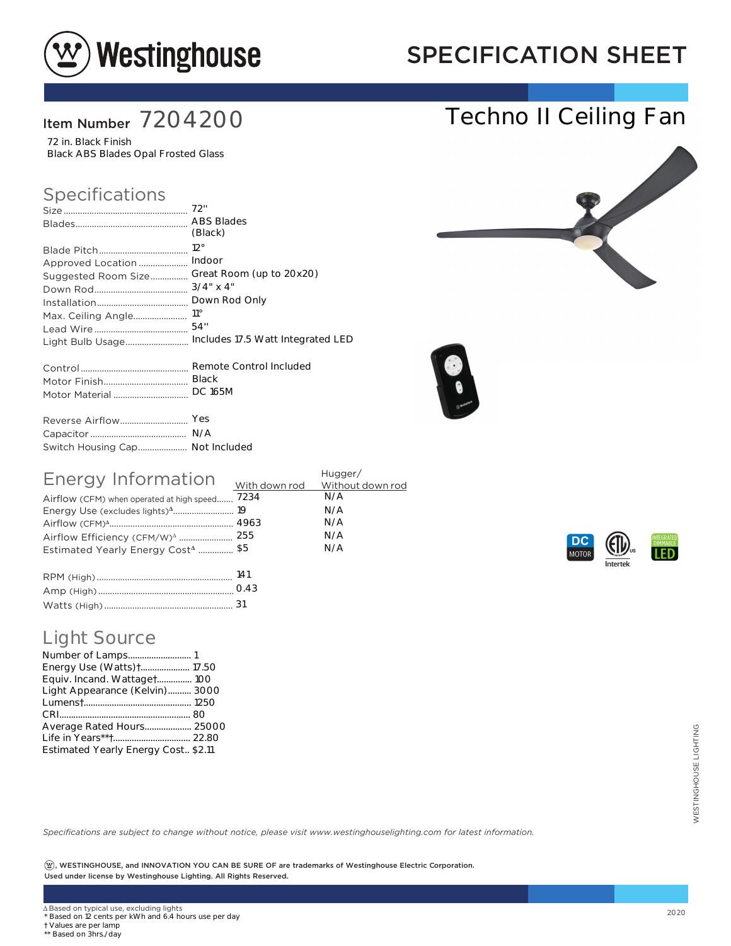

## SPECIFICATION SHEET

Techno II Ceiling Fan

### Item Number 7204200

72 in. Black Finish Black ABS Blades Opal Frosted Glass

#### Specifications

|                                 | (Black)                                            |
|---------------------------------|----------------------------------------------------|
|                                 | $12^{\circ}$                                       |
| Approved Location               | Indoor                                             |
| Suggested Room Size             | Great Room (up to 20x20)                           |
|                                 | $3/4$ " x 4"                                       |
|                                 | Down Rod Only                                      |
|                                 | $11^{\circ}$                                       |
|                                 |                                                    |
|                                 | Light Bulb Usage Includes 17.5 Watt Integrated LED |
|                                 |                                                    |
|                                 | <b>Black</b>                                       |
|                                 |                                                    |
|                                 |                                                    |
|                                 | Yes                                                |
|                                 |                                                    |
| Switch Housing Cap Not Included |                                                    |





| Energy Information                             | Hugger/ |     |
|------------------------------------------------|---------|-----|
|                                                |         |     |
| Airflow (CFM) when operated at high speed 7234 |         | N/A |
|                                                |         | N/A |
|                                                |         | N/A |
|                                                |         | N/A |
| Estimated Yearly Energy Cost <sup>4</sup> \$5  |         | N/A |
|                                                |         |     |
| $\Box$ $\Box$ $\Box$                           | 141     |     |

| 141  |
|------|
| 0.43 |
|      |

### Light Source

| <b>Light Source</b><br>Energy Use (Watts) + 17.50<br>Equiv. Incand. Wattaget 100<br>Light Appearance (Kelvin) 3000<br>Average Rated Hours 25000<br>Estimated Yearly Energy Cost., \$2.11                                                          |      |
|---------------------------------------------------------------------------------------------------------------------------------------------------------------------------------------------------------------------------------------------------|------|
| Specifications are subject to change without notice, please visit www.westinghouselighting.com for latest information.<br>$(\mathfrak{B})$ , WESTINGHOUSE, and INNOVATION YOU CAN BE SURE OF are trademarks of Westinghouse Electric Corporation. |      |
| Used under license by Westinghouse Lighting. All Rights Reserved.                                                                                                                                                                                 |      |
|                                                                                                                                                                                                                                                   |      |
| ∆ Based on typical use, excluding lights<br>* Based on 12 cents per kWh and 6.4 hours use per day<br>† Values are per lamp<br>** Based on 3hrs./day                                                                                               | 2020 |



† Values are per lamp